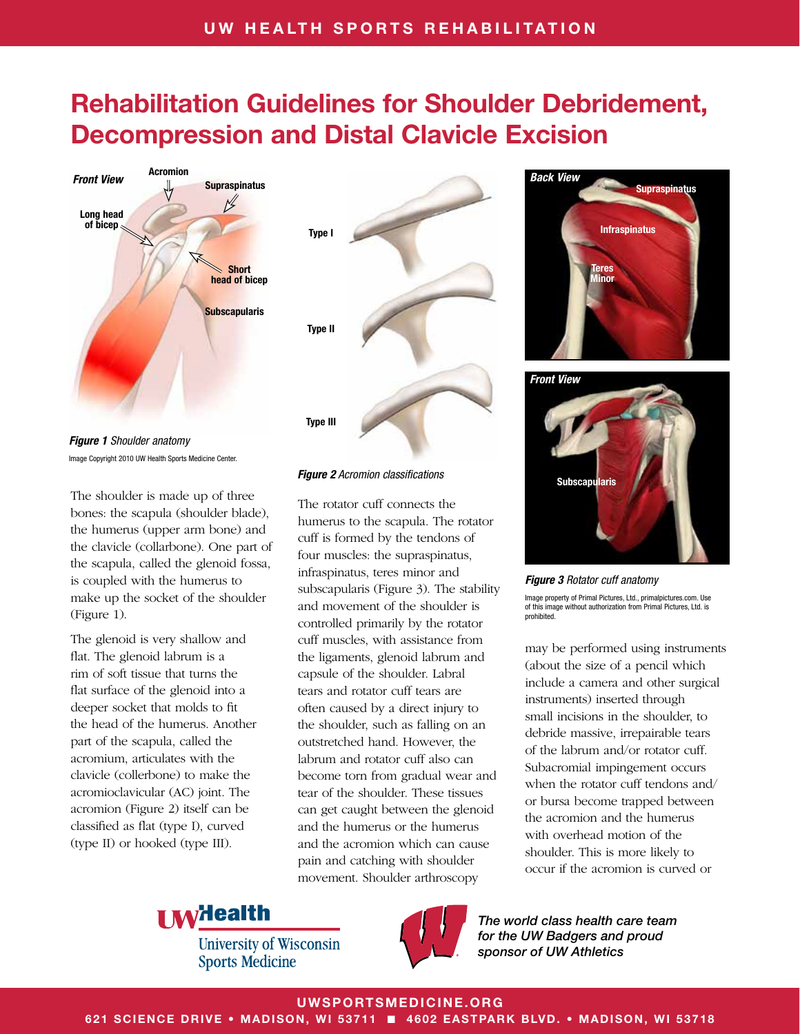

*Figure 1 Shoulder anatomy* Image Copyright 2010 UW Health Sports Medicine Center.

The shoulder is made up of three bones: the scapula (shoulder blade), the humerus (upper arm bone) and the clavicle (collarbone). One part of the scapula, called the glenoid fossa, is coupled with the humerus to make up the socket of the shoulder (Figure 1).

The glenoid is very shallow and flat. The glenoid labrum is a rim of soft tissue that turns the flat surface of the glenoid into a deeper socket that molds to fit the head of the humerus. Another part of the scapula, called the acromium, articulates with the clavicle (collerbone) to make the acromioclavicular (AC) joint. The acromion (Figure 2) itself can be classified as flat (type I), curved (type II) or hooked (type III).



#### *Figure 2 Acromion classifications*

The rotator cuff connects the humerus to the scapula. The rotator cuff is formed by the tendons of four muscles: the supraspinatus, infraspinatus, teres minor and subscapularis (Figure 3). The stability and movement of the shoulder is controlled primarily by the rotator cuff muscles, with assistance from the ligaments, glenoid labrum and capsule of the shoulder. Labral tears and rotator cuff tears are often caused by a direct injury to the shoulder, such as falling on an outstretched hand. However, the labrum and rotator cuff also can become torn from gradual wear and tear of the shoulder. These tissues can get caught between the glenoid and the humerus or the humerus and the acromion which can cause pain and catching with shoulder movement. Shoulder arthroscopy



**Subscapularis** *Front View*

*Figure 3 Rotator cuff anatomy*

Image property of Primal Pictures, Ltd., primalpictures.com. Use of this image without authorization from Primal Pictures, Ltd. is prohibited.

may be performed using instruments (about the size of a pencil which include a camera and other surgical instruments) inserted through small incisions in the shoulder, to debride massive, irrepairable tears of the labrum and/or rotator cuff. Subacromial impingement occurs when the rotator cuff tendons and/ or bursa become trapped between the acromion and the humerus with overhead motion of the shoulder. This is more likely to occur if the acromion is curved or

**I Milealth** 

**University of Wisconsin Sports Medicine** 



*The world class health care team for the UW Badgers and proud sponsor of UW Athletics*

UWSPORTSMEDICINE.ORG

621 SCIENCE DRIVE • MADISON, WI 53711 ■ 4602 EASTPARK BLVD. • MADISON, WI 53718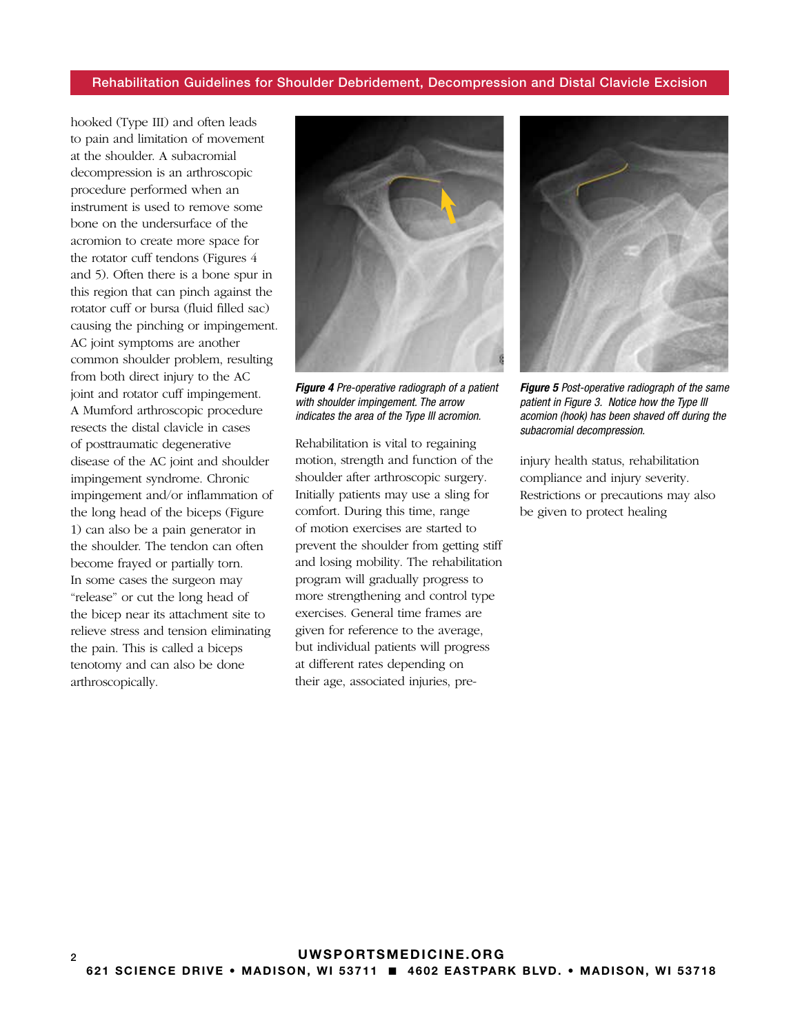hooked (Type III) and often leads to pain and limitation of movement at the shoulder. A subacromial decompression is an arthroscopic procedure performed when an instrument is used to remove some bone on the undersurface of the acromion to create more space for the rotator cuff tendons (Figures 4 and 5). Often there is a bone spur in this region that can pinch against the rotator cuff or bursa (fluid filled sac) causing the pinching or impingement. AC joint symptoms are another common shoulder problem, resulting from both direct injury to the AC joint and rotator cuff impingement. A Mumford arthroscopic procedure resects the distal clavicle in cases of posttraumatic degenerative disease of the AC joint and shoulder impingement syndrome. Chronic impingement and/or inflammation of the long head of the biceps (Figure 1) can also be a pain generator in the shoulder. The tendon can often become frayed or partially torn. In some cases the surgeon may "release" or cut the long head of the bicep near its attachment site to relieve stress and tension eliminating the pain. This is called a biceps tenotomy and can also be done arthroscopically.



*Figure 4 Pre-operative radiograph of a patient with shoulder impingement. The arrow indicates the area of the Type III acromion.*

Rehabilitation is vital to regaining motion, strength and function of the shoulder after arthroscopic surgery. Initially patients may use a sling for comfort. During this time, range of motion exercises are started to prevent the shoulder from getting stiff and losing mobility. The rehabilitation program will gradually progress to more strengthening and control type exercises. General time frames are given for reference to the average, but individual patients will progress at different rates depending on their age, associated injuries, pre-



*Figure 5 Post-operative radiograph of the same patient in Figure 3. Notice how the Type III acomion (hook) has been shaved off during the subacromial decompression.*

injury health status, rehabilitation compliance and injury severity. Restrictions or precautions may also be given to protect healing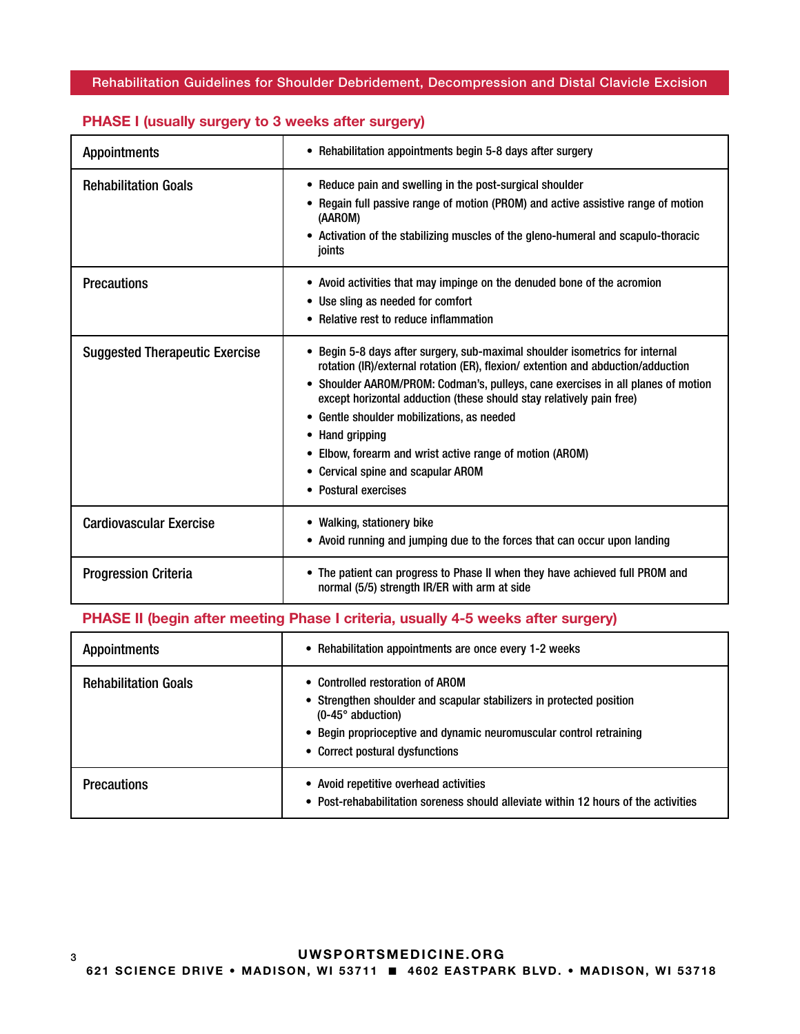| <b>Appointments</b>                   | • Rehabilitation appointments begin 5-8 days after surgery                                                                                                                                                                                                                                                                                                                                                                                                                                                              |
|---------------------------------------|-------------------------------------------------------------------------------------------------------------------------------------------------------------------------------------------------------------------------------------------------------------------------------------------------------------------------------------------------------------------------------------------------------------------------------------------------------------------------------------------------------------------------|
| <b>Rehabilitation Goals</b>           | • Reduce pain and swelling in the post-surgical shoulder<br>• Regain full passive range of motion (PROM) and active assistive range of motion<br>(AAROM)<br>• Activation of the stabilizing muscles of the gleno-humeral and scapulo-thoracic<br>joints                                                                                                                                                                                                                                                                 |
| <b>Precautions</b>                    | • Avoid activities that may impinge on the denuded bone of the acromion<br>• Use sling as needed for comfort<br>• Relative rest to reduce inflammation                                                                                                                                                                                                                                                                                                                                                                  |
| <b>Suggested Therapeutic Exercise</b> | • Begin 5-8 days after surgery, sub-maximal shoulder isometrics for internal<br>rotation (IR)/external rotation (ER), flexion/ extention and abduction/adduction<br>• Shoulder AAROM/PROM: Codman's, pulleys, cane exercises in all planes of motion<br>except horizontal adduction (these should stay relatively pain free)<br>• Gentle shoulder mobilizations, as needed<br>• Hand gripping<br>• Elbow, forearm and wrist active range of motion (AROM)<br>• Cervical spine and scapular AROM<br>• Postural exercises |
| <b>Cardiovascular Exercise</b>        | • Walking, stationery bike<br>• Avoid running and jumping due to the forces that can occur upon landing                                                                                                                                                                                                                                                                                                                                                                                                                 |
| <b>Progression Criteria</b>           | • The patient can progress to Phase II when they have achieved full PROM and<br>normal (5/5) strength IR/ER with arm at side                                                                                                                                                                                                                                                                                                                                                                                            |

## PHASE I (usually surgery to 3 weeks after surgery)

## PHASE II (begin after meeting Phase I criteria, usually 4-5 weeks after surgery)

| <b>Appointments</b>         | • Rehabilitation appointments are once every 1-2 weeks                                                                                                                                                                                         |
|-----------------------------|------------------------------------------------------------------------------------------------------------------------------------------------------------------------------------------------------------------------------------------------|
| <b>Rehabilitation Goals</b> | • Controlled restoration of AROM<br>• Strengthen shoulder and scapular stabilizers in protected position<br>$(0-45^\circ$ abduction)<br>• Begin proprioceptive and dynamic neuromuscular control retraining<br>• Correct postural dysfunctions |
| <b>Precautions</b>          | • Avoid repetitive overhead activities<br>• Post-rehababilitation soreness should alleviate within 12 hours of the activities                                                                                                                  |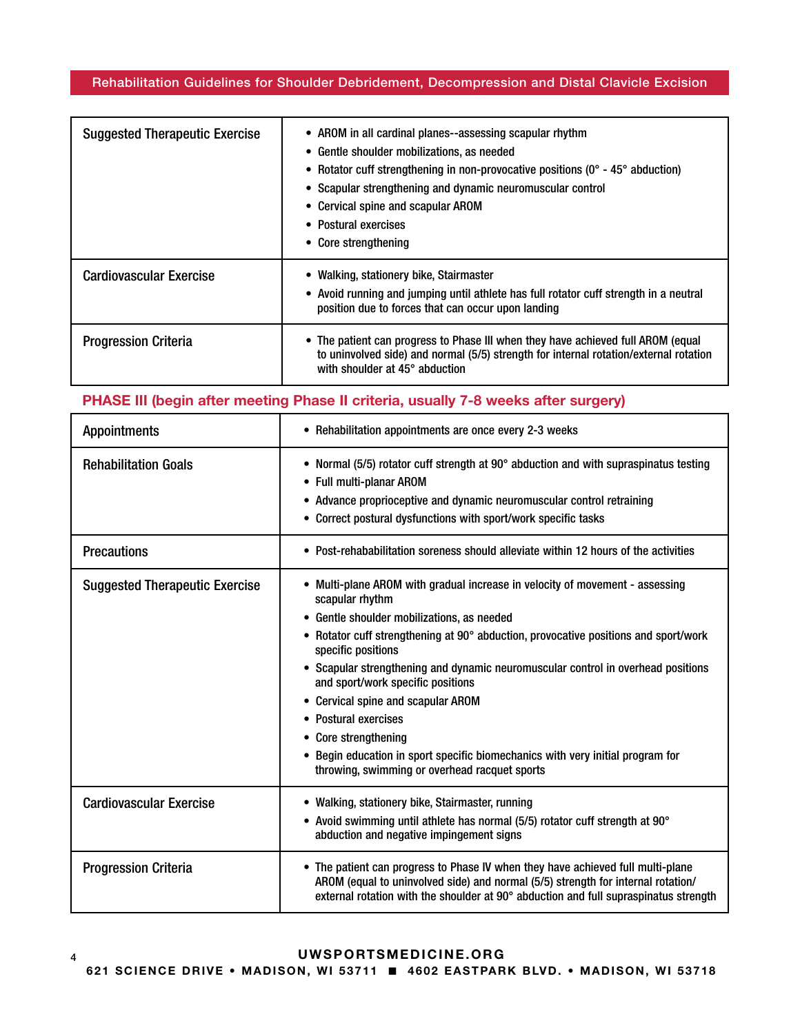| <b>Suggested Therapeutic Exercise</b> | • AROM in all cardinal planes--assessing scapular rhythm<br>• Gentle shoulder mobilizations, as needed<br>• Rotator cuff strengthening in non-provocative positions ( $0^{\circ}$ - 45 $^{\circ}$ abduction)<br>• Scapular strengthening and dynamic neuromuscular control<br>• Cervical spine and scapular AROM<br>• Postural exercises<br>• Core strengthening |
|---------------------------------------|------------------------------------------------------------------------------------------------------------------------------------------------------------------------------------------------------------------------------------------------------------------------------------------------------------------------------------------------------------------|
| <b>Cardiovascular Exercise</b>        | • Walking, stationery bike, Stairmaster<br>• Avoid running and jumping until athlete has full rotator cuff strength in a neutral<br>position due to forces that can occur upon landing                                                                                                                                                                           |
| <b>Progression Criteria</b>           | • The patient can progress to Phase III when they have achieved full AROM (equal<br>to uninvolved side) and normal (5/5) strength for internal rotation/external rotation<br>with shoulder at $45^\circ$ abduction                                                                                                                                               |

### PHASE III (begin after meeting Phase II criteria, usually 7-8 weeks after surgery)

| <b>Appointments</b>                   | • Rehabilitation appointments are once every 2-3 weeks                                                                                                                                                                                                                                                                                                                                                                                                                                                                                                                                                            |
|---------------------------------------|-------------------------------------------------------------------------------------------------------------------------------------------------------------------------------------------------------------------------------------------------------------------------------------------------------------------------------------------------------------------------------------------------------------------------------------------------------------------------------------------------------------------------------------------------------------------------------------------------------------------|
| <b>Rehabilitation Goals</b>           | • Normal (5/5) rotator cuff strength at 90° abduction and with supraspinatus testing<br>• Full multi-planar AROM<br>• Advance proprioceptive and dynamic neuromuscular control retraining<br>Correct postural dysfunctions with sport/work specific tasks                                                                                                                                                                                                                                                                                                                                                         |
| <b>Precautions</b>                    | • Post-rehababilitation soreness should alleviate within 12 hours of the activities                                                                                                                                                                                                                                                                                                                                                                                                                                                                                                                               |
| <b>Suggested Therapeutic Exercise</b> | Multi-plane AROM with gradual increase in velocity of movement - assessing<br>scapular rhythm<br>Gentle shoulder mobilizations, as needed<br>٠<br>Rotator cuff strengthening at 90° abduction, provocative positions and sport/work<br>specific positions<br>• Scapular strengthening and dynamic neuromuscular control in overhead positions<br>and sport/work specific positions<br>Cervical spine and scapular AROM<br><b>Postural exercises</b><br><b>Core strengthening</b><br>Begin education in sport specific biomechanics with very initial program for<br>throwing, swimming or overhead racquet sports |
| <b>Cardiovascular Exercise</b>        | • Walking, stationery bike, Stairmaster, running<br>• Avoid swimming until athlete has normal (5/5) rotator cuff strength at 90°<br>abduction and negative impingement signs                                                                                                                                                                                                                                                                                                                                                                                                                                      |
| <b>Progression Criteria</b>           | • The patient can progress to Phase IV when they have achieved full multi-plane<br>AROM (equal to uninvolved side) and normal (5/5) strength for internal rotation/<br>external rotation with the shoulder at 90° abduction and full supraspinatus strength                                                                                                                                                                                                                                                                                                                                                       |

### 4 UWSPORTSMEDICINE.ORG